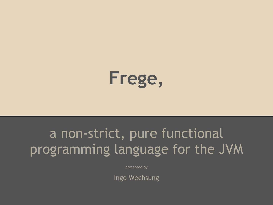

## a non-strict, pure functional programming language for the JVM

presented by

Ingo Wechsung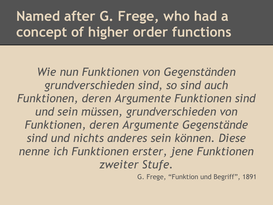# **Named after G. Frege, who had a concept of higher order functions**

*Wie nun Funktionen von Gegenständen grundverschieden sind, so sind auch Funktionen, deren Argumente Funktionen sind und sein müssen, grundverschieden von Funktionen, deren Argumente Gegenstände sind und nichts anderes sein können. Diese nenne ich Funktionen erster, jene Funktionen zweiter Stufe.*

G. Frege, "Funktion und Begriff", 1891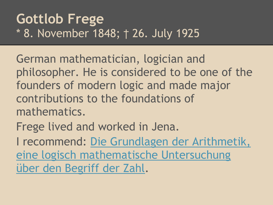## **Gottlob Frege** \* 8. November 1848; † 26. July 1925

German mathematician, logician and philosopher. He is considered to be one of the founders of modern logic and made major contributions to the foundations of mathematics.

Frege lived and worked in Jena.

I recommend: [Die Grundlagen der Arithmetik,](http://archive.org/details/diegrundlagende00freggoog) [eine logisch mathematische Untersuchung](http://archive.org/details/diegrundlagende00freggoog) [über den Begriff der Zahl.](http://archive.org/details/diegrundlagende00freggoog)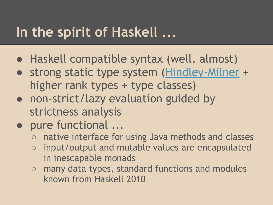## **In the spirit of Haskell ...**

- Haskell compatible syntax (well, almost)
- strong static type system ([Hindley-Milner](http://en.wikipedia.org/wiki/Hindley%E2%80%93Milner) + higher rank types + type classes)
- non-strict/lazy evaluation guided by strictness analysis
- pure functional ...
	- native interface for using Java methods and classes
	- input/output and mutable values are encapsulated in inescapable monads
	- many data types, standard functions and modules known from Haskell 2010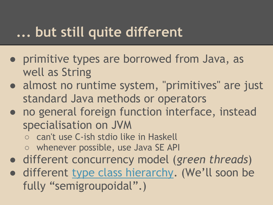## **... but still quite different**

- primitive types are borrowed from Java, as well as String
- almost no runtime system, "primitives" are just standard Java methods or operators
- no general foreign function interface, instead specialisation on JVM
	- can't use C-ish stdio like in Haskell
	- whenever possible, use Java SE API
- different concurrency model (*green threads*)
- different [type class hierarchy.](http://ro-che.info/ccc/21.html) (We'll soon be fully "semigroupoidal".)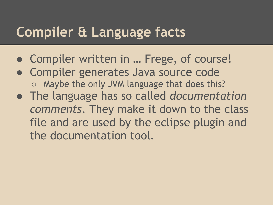## **Compiler & Language facts**

- Compiler written in … Frege, of course!
- Compiler generates Java source code
	- Maybe the only JVM language that does this?
- The language has so called *documentation comments*. They make it down to the class file and are used by the eclipse plugin and the documentation tool.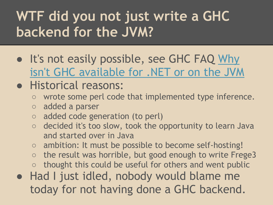# **WTF did you not just write a GHC backend for the JVM?**

• It's not easily possible, see GHC FAQ [Why](http://www.haskell.org/haskellwiki/GHC/FAQ#Why_isn.27t_GHC_available_for_.NET_or_on_the_JVM.3F) [isn't GHC available for .NET or on the JVM](http://www.haskell.org/haskellwiki/GHC/FAQ#Why_isn.27t_GHC_available_for_.NET_or_on_the_JVM.3F)

### ● Historical reasons:

- wrote some perl code that implemented type inference.
- added a parser
- added code generation (to perl)
- decided it's too slow, took the opportunity to learn Java and started over in Java
- ambition: It must be possible to become self-hosting!
- $\circ$  the result was horrible, but good enough to write Frege3
- thought this could be useful for others and went public
- Had I just idled, nobody would blame me today for not having done a GHC backend.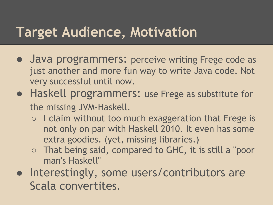## **Target Audience, Motivation**

- Java programmers: perceive writing Frege code as just another and more fun way to write Java code. Not very successful until now.
- Haskell programmers: use Frege as substitute for the missing JVM-Haskell.
	- I claim without too much exaggeration that Frege is not only on par with Haskell 2010. It even has some extra goodies. (yet, missing libraries.)
	- That being said, compared to GHC, it is still a "poor man's Haskell"
- Interestingly, some users/contributors are Scala convertites.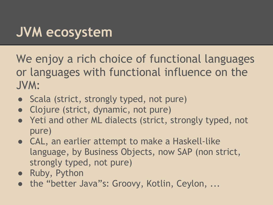# **JVM ecosystem**

We enjoy a rich choice of functional languages or languages with functional influence on the JVM:

- Scala (strict, strongly typed, not pure)
- Clojure (strict, dynamic, not pure)
- Yeti and other ML dialects (strict, strongly typed, not pure)
- CAL, an earlier attempt to make a Haskell-like language, by Business Objects, now SAP (non strict, strongly typed, not pure)
- Ruby, Python
- the "better Java"s: Groovy, Kotlin, Ceylon, ...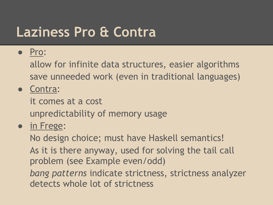## **Laziness Pro & Contra**

#### ● Pro:

allow for infinite data structures, easier algorithms save unneeded work (even in traditional languages)

● Contra:

it comes at a cost unpredictability of memory usage

#### ● in Frege:

No design choice; must have Haskell semantics! As it is there anyway, used for solving the tail call problem (see Example even/odd) *bang patterns* indicate strictness, strictness analyzer detects whole lot of strictness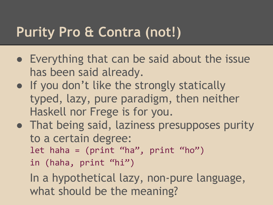## **Purity Pro & Contra (not!)**

- Everything that can be said about the issue has been said already.
- If you don't like the strongly statically typed, lazy, pure paradigm, then neither Haskell nor Frege is for you.
- That being said, laziness presupposes purity to a certain degree: let haha =  $(print "ha", print "ho")$ in (haha, print "hi")

In a hypothetical lazy, non-pure language, what should be the meaning?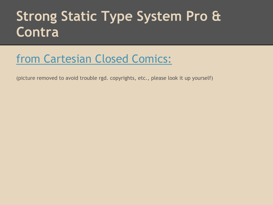## **Strong Static Type System Pro & Contra**

### [from Cartesian Closed Comics:](http://ro-che.info/ccc/17.html)

(picture removed to avoid trouble rgd. copyrights, etc., please look it up yourself)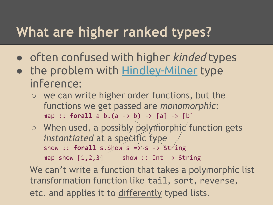## **What are higher ranked types?**

- often confused with higher *kinded* types
- the problem with [Hindley-Milner](http://en.wikipedia.org/wiki/Hindley%E2%80%93Milner) type inference:
	- we can write higher order functions, but the functions we get passed are *monomorphic*: map :: **forall** a b.(a -> b) -> [a] -> [b]
	- When used, a possibly polymorphic function gets *instantiated* at a specific type show :: **forall** s. Show s => s -> String map show  $\begin{bmatrix} 1,2,3 \end{bmatrix}$  -- show :: Int -> String

We can't write a function that takes a polymorphic list transformation function like tail, sort, reverse, etc. and applies it to differently typed lists.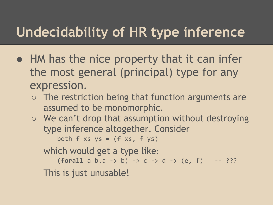# **Undecidability of HR type inference**

- HM has the nice property that it can infer the most general (principal) type for any expression.
	- The restriction being that function arguments are assumed to be monomorphic.
	- We can't drop that assumption without destroying type inference altogether. Consider

both  $f$  xs  $ys = (f$  xs,  $f$   $ys)$ 

which would get a type like:

 $(foral1 a b.a -> b) -> c -> d -> (e, f) -- ???$ This is just unusable!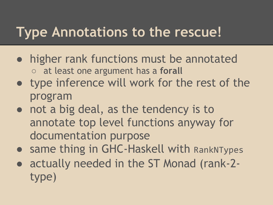## **Type Annotations to the rescue!**

- higher rank functions must be annotated ○ at least one argument has a **forall**
- type inference will work for the rest of the program
- not a big deal, as the tendency is to annotate top level functions anyway for documentation purpose
- same thing in GHC-Haskell with RankNTypes
- actually needed in the ST Monad (rank-2type)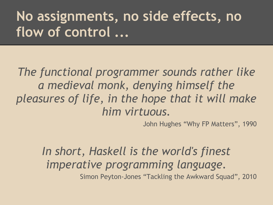# **No assignments, no side effects, no flow of control ...**

*The functional programmer sounds rather like a medieval monk, denying himself the pleasures of life, in the hope that it will make him virtuous.*

John Hughes "Why FP Matters", 1990

*In short, Haskell is the world's finest imperative programming language.*

Simon Peyton-Jones "Tackling the Awkward Squad", 2010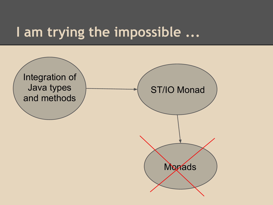## **I am trying the impossible ...**

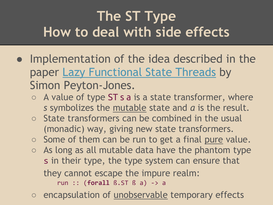# **The ST Type How to deal with side effects**

- Implementation of the idea described in the paper [Lazy Functional State Threads](http://homepages.dcc.ufmg.br/~camarao/fp/articles/lazy-state.pdf) by Simon Peyton-Jones.
	- $\circ$  A value of type ST s a is a state transformer, where *s* symbolizes the mutable state and *a* is the result.
	- State transformers can be combined in the usual (monadic) way, giving new state transformers.
	- Some of them can be run to get a final pure value.
	- $\circ$  As long as all mutable data have the phantom type s in their type, the type system can ensure that they cannot escape the impure realm: run :: (**forall** ß.ST ß a) -> a
	- encapsulation of unobservable temporary effects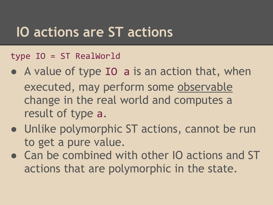## **IO actions are ST actions**

#### type IO = ST RealWorld

- A value of type IO a is an action that, when executed, may perform some observable change in the real world and computes a result of type a.
- Unlike polymorphic ST actions, cannot be run to get a pure value.
- Can be combined with other IO actions and ST actions that are polymorphic in the state.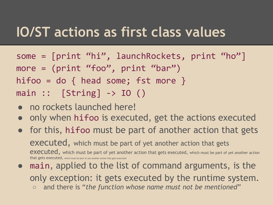## **IO/ST actions as first class values**

- some = [print "hi", launchRockets, print "ho"] more = (print "foo", print "bar") hifoo = do  $\{$  head some; fst more  $\}$  $main :: [String] \rightarrow IO()$
- no rockets launched here!
- only when hifoo is executed, get the actions executed
- for this, hifoo must be part of another action that gets executed, which must be part of yet another action that gets executed, which must be part of yet another action that gets executed, which must be part of yet another action that gets executed, which must be part of yet another action that gets executed
- main, applied to the list of command arguments, is the only exception: it gets executed by the runtime system. ○ and there is "*the function whose name must not be mentioned*"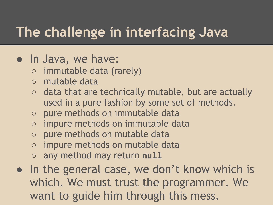# **The challenge in interfacing Java**

### ● In Java, we have:

- immutable data (rarely)
- mutable data
- data that are technically mutable, but are actually used in a pure fashion by some set of methods.
- pure methods on immutable data
- impure methods on immutable data
- pure methods on mutable data
- impure methods on mutable data
- any method may return null
- In the general case, we don't know which is which. We must trust the programmer. We want to guide him through this mess.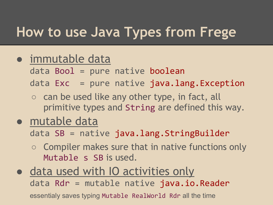## **How to use Java Types from Frege**

#### ● immutable data

data Bool = pure native boolean

data Exc = pure native java.lang.Exception

○ can be used like any other type, in fact, all primitive types and String are defined this way.

### ● mutable data

data SB = native java.lang.StringBuilder

- Compiler makes sure that in native functions only Mutable s SB is used.
- data used with IO activities only data Rdr = mutable native java.io.Reader essentialy saves typing Mutable RealWorld Rdr all the time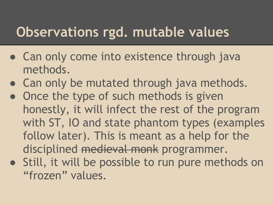## **Observations rgd. mutable values**

- Can only come into existence through java methods.
- Can only be mutated through java methods.
- Once the type of such methods is given honestly, it will infect the rest of the program with ST, IO and state phantom types (examples follow later). This is meant as a help for the disciplined medieval monk programmer.
- Still, it will be possible to run pure methods on "frozen" values.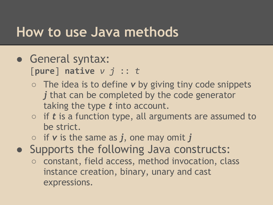## **How to use Java methods**

- General syntax: [**pure**] **native** *v j* :: *t*
	- The idea is to define *v* by giving tiny code snippets *j* that can be completed by the code generator taking the type *t* into account.
	- if *t* is a function type, all arguments are assumed to be strict.
	- if *v* is the same as *j*, one may omit *j*
- Supports the following Java constructs:
	- constant, field access, method invocation, class instance creation, binary, unary and cast expressions.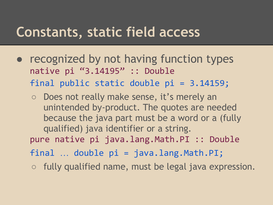## **Constants, static field access**

- recognized by not having function types native pi "3.14195" :: Double final public static double pi = 3.14159;
	- Does not really make sense, it's merely an unintended by-product. The quotes are needed because the java part must be a word or a (fully qualified) java identifier or a string. pure native pi java.lang.Math.PI :: Double final … double pi = java.lang.Math.PI;
	- $\circ$  fully qualified name, must be legal java expression.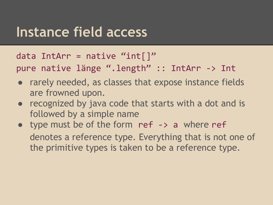## **Instance field access**

data IntArr = native "int $[$ ]" pure native länge ".length" :: IntArr -> Int

- rarely needed, as classes that expose instance fields are frowned upon.
- recognized by java code that starts with a dot and is followed by a simple name
- type must be of the form ref  $\rightarrow$  a where ref denotes a reference type. Everything that is not one of the primitive types is taken to be a reference type.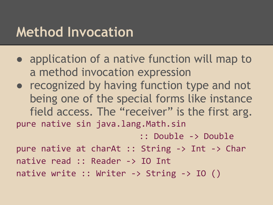## **Method Invocation**

- application of a native function will map to a method invocation expression
- recognized by having function type and not being one of the special forms like instance field access. The "receiver" is the first arg. pure native sin java.lang.Math.sin

:: Double -> Double

pure native at charAt :: String -> Int -> Char native read :: Reader -> IO Int native write :: Writer -> String -> IO ()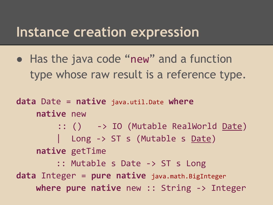### **Instance creation expression**

• Has the java code "new" and a function type whose raw result is a reference type.

```
data Date = native java.util.Date where
     native new 
         :: () -> IO (Mutable RealWorld Date)
         | Long -> ST s (Mutable s <u>Date</u>)
     native getTime 
          :: Mutable s Date -> ST s Long
data Integer = pure native java.math.BigInteger
     where pure native new :: String -> Integer
```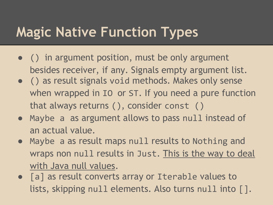# **Magic Native Function Types**

- () in argument position, must be only argument besides receiver, if any. Signals empty argument list.
- () as result signals void methods. Makes only sense when wrapped in IO or ST. If you need a pure function that always returns (), consider const ()
- Maybe a as argument allows to pass null instead of an actual value.
- Maybe a as result maps null results to Nothing and wraps non null results in Just. This is the way to deal with Java null values.
- [a] as result converts array or Iterable values to lists, skipping null elements. Also turns null into [].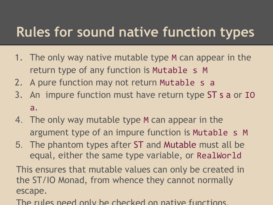## **Rules for sound native function types**

- 1. The only way native mutable type M can appear in the return type of any function is Mutable s M
- 2. A pure function may not return Mutable s a
- 3. An impure function must have return type ST s a or IO a.
- 4. The only way mutable type M can appear in the argument type of an impure function is Mutable s M
- 5. The phantom types after ST and Mutable must all be equal, either the same type variable, or RealWorld

This ensures that mutable values can only be created in the ST/IO Monad, from whence they cannot normally escape.

The rules need only be checked on native functions.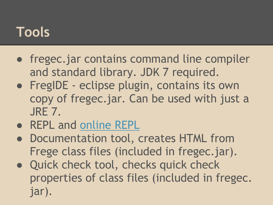## **Tools**

- fregec.jar contains command line compiler and standard library. JDK 7 required.
- FregIDE eclipse plugin, contains its own copy of fregec.jar. Can be used with just a JRE 7.
- REPL and [online REPL](http://try.frege-lang.org)
- Documentation tool, creates HTML from Frege class files (included in fregec.jar).
- Quick check tool, checks quick check properties of class files (included in fregec. jar).